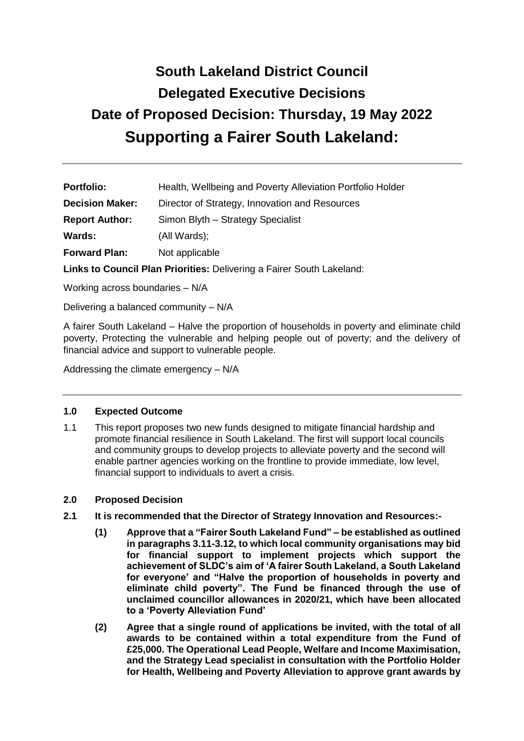# **South Lakeland District Council Delegated Executive Decisions Date of Proposed Decision: Thursday, 19 May 2022 Supporting a Fairer South Lakeland:**

| <b>Portfolio:</b>      | Health, Wellbeing and Poverty Alleviation Portfolio Holder |
|------------------------|------------------------------------------------------------|
| <b>Decision Maker:</b> | Director of Strategy, Innovation and Resources             |
| <b>Report Author:</b>  | Simon Blyth - Strategy Specialist                          |
| <b>Wards:</b>          | (All Wards);                                               |
| <b>Forward Plan:</b>   | Not applicable                                             |

**Links to Council Plan Priorities:** Delivering a Fairer South Lakeland:

Working across boundaries – N/A

Delivering a balanced community – N/A

A fairer South Lakeland – Halve the proportion of households in poverty and eliminate child poverty, Protecting the vulnerable and helping people out of poverty; and the delivery of financial advice and support to vulnerable people.

Addressing the climate emergency – N/A

## **1.0 Expected Outcome**

1.1 This report proposes two new funds designed to mitigate financial hardship and promote financial resilience in South Lakeland. The first will support local councils and community groups to develop projects to alleviate poverty and the second will enable partner agencies working on the frontline to provide immediate, low level, financial support to individuals to avert a crisis.

## **2.0 Proposed Decision**

- **2.1 It is recommended that the Director of Strategy Innovation and Resources:-**
	- **(1) Approve that a "Fairer South Lakeland Fund" – be established as outlined in paragraphs 3.11-3.12, to which local community organisations may bid for financial support to implement projects which support the achievement of SLDC's aim of 'A fairer South Lakeland, a South Lakeland for everyone' and "Halve the proportion of households in poverty and eliminate child poverty". The Fund be financed through the use of unclaimed councillor allowances in 2020/21, which have been allocated to a 'Poverty Alleviation Fund'**
	- **(2) Agree that a single round of applications be invited, with the total of all awards to be contained within a total expenditure from the Fund of £25,000. The Operational Lead People, Welfare and Income Maximisation, and the Strategy Lead specialist in consultation with the Portfolio Holder for Health, Wellbeing and Poverty Alleviation to approve grant awards by**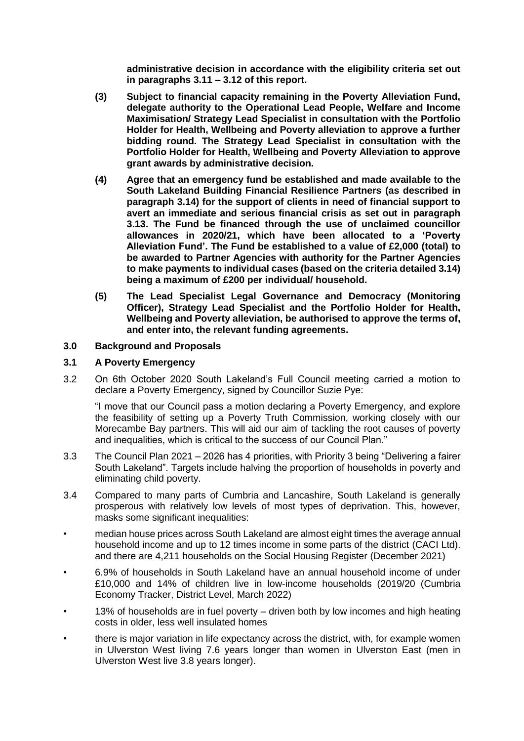**administrative decision in accordance with the eligibility criteria set out in paragraphs 3.11 – 3.12 of this report.**

- **(3) Subject to financial capacity remaining in the Poverty Alleviation Fund, delegate authority to the Operational Lead People, Welfare and Income Maximisation/ Strategy Lead Specialist in consultation with the Portfolio Holder for Health, Wellbeing and Poverty alleviation to approve a further bidding round. The Strategy Lead Specialist in consultation with the Portfolio Holder for Health, Wellbeing and Poverty Alleviation to approve grant awards by administrative decision.**
- **(4) Agree that an emergency fund be established and made available to the South Lakeland Building Financial Resilience Partners (as described in paragraph 3.14) for the support of clients in need of financial support to avert an immediate and serious financial crisis as set out in paragraph 3.13. The Fund be financed through the use of unclaimed councillor allowances in 2020/21, which have been allocated to a 'Poverty Alleviation Fund'. The Fund be established to a value of £2,000 (total) to be awarded to Partner Agencies with authority for the Partner Agencies to make payments to individual cases (based on the criteria detailed 3.14) being a maximum of £200 per individual/ household.**
- **(5) The Lead Specialist Legal Governance and Democracy (Monitoring Officer), Strategy Lead Specialist and the Portfolio Holder for Health, Wellbeing and Poverty alleviation, be authorised to approve the terms of, and enter into, the relevant funding agreements.**

#### **3.0 Background and Proposals**

#### **3.1 A Poverty Emergency**

3.2 On 6th October 2020 South Lakeland's Full Council meeting carried a motion to declare a Poverty Emergency, signed by Councillor Suzie Pye:

"I move that our Council pass a motion declaring a Poverty Emergency, and explore the feasibility of setting up a Poverty Truth Commission, working closely with our Morecambe Bay partners. This will aid our aim of tackling the root causes of poverty and inequalities, which is critical to the success of our Council Plan."

- 3.3 The Council Plan 2021 2026 has 4 priorities, with Priority 3 being "Delivering a fairer South Lakeland". Targets include halving the proportion of households in poverty and eliminating child poverty.
- 3.4 Compared to many parts of Cumbria and Lancashire, South Lakeland is generally prosperous with relatively low levels of most types of deprivation. This, however, masks some significant inequalities:
- median house prices across South Lakeland are almost eight times the average annual household income and up to 12 times income in some parts of the district (CACI Ltd). and there are 4,211 households on the Social Housing Register (December 2021)
- 6.9% of households in South Lakeland have an annual household income of under £10,000 and 14% of children live in low-income households (2019/20 (Cumbria Economy Tracker, District Level, March 2022)
- 13% of households are in fuel poverty driven both by low incomes and high heating costs in older, less well insulated homes
- there is major variation in life expectancy across the district, with, for example women in Ulverston West living 7.6 years longer than women in Ulverston East (men in Ulverston West live 3.8 years longer).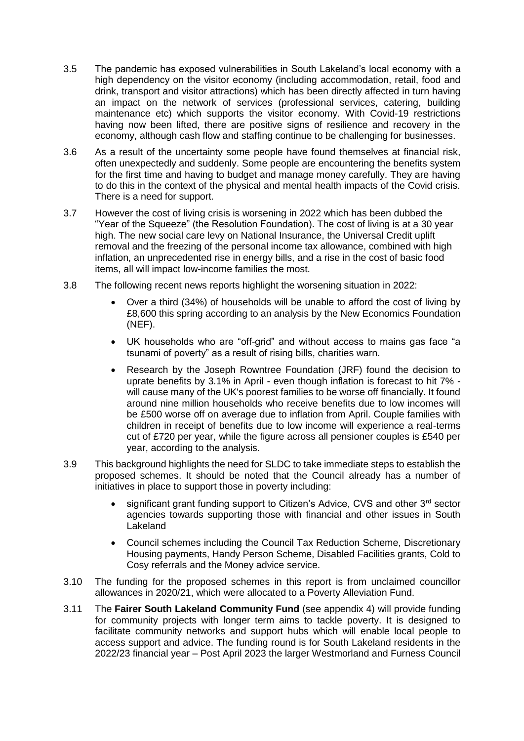- 3.5 The pandemic has exposed vulnerabilities in South Lakeland's local economy with a high dependency on the visitor economy (including accommodation, retail, food and drink, transport and visitor attractions) which has been directly affected in turn having an impact on the network of services (professional services, catering, building maintenance etc) which supports the visitor economy. With Covid-19 restrictions having now been lifted, there are positive signs of resilience and recovery in the economy, although cash flow and staffing continue to be challenging for businesses.
- 3.6 As a result of the uncertainty some people have found themselves at financial risk, often unexpectedly and suddenly. Some people are encountering the benefits system for the first time and having to budget and manage money carefully. They are having to do this in the context of the physical and mental health impacts of the Covid crisis. There is a need for support.
- 3.7 However the cost of living crisis is worsening in 2022 which has been dubbed the "Year of the Squeeze" (the Resolution Foundation). The cost of living is at a 30 year high. The new social care levy on National Insurance, the Universal Credit uplift removal and the freezing of the personal income tax allowance, combined with high inflation, an unprecedented rise in energy bills, and a rise in the cost of basic food items, all will impact low-income families the most.
- 3.8 The following recent news reports highlight the worsening situation in 2022:
	- Over a third (34%) of households will be unable to afford the cost of living by £8,600 this spring according to an analysis by the New Economics Foundation (NEF).
	- UK households who are "off-grid" and without access to mains gas face "a tsunami of poverty" as a result of rising bills, charities warn.
	- Research by the Joseph Rowntree Foundation (JRF) found the decision to uprate benefits by 3.1% in April - even though inflation is forecast to hit 7% will cause many of the UK's poorest families to be worse off financially. It found around nine million households who receive benefits due to low incomes will be £500 worse off on average due to inflation from April. Couple families with children in receipt of benefits due to low income will experience a real-terms cut of £720 per year, while the figure across all pensioner couples is £540 per year, according to the analysis.
- 3.9 This background highlights the need for SLDC to take immediate steps to establish the proposed schemes. It should be noted that the Council already has a number of initiatives in place to support those in poverty including:
	- significant grant funding support to Citizen's Advice, CVS and other 3rd sector agencies towards supporting those with financial and other issues in South Lakeland
	- Council schemes including the Council Tax Reduction Scheme, Discretionary Housing payments, Handy Person Scheme, Disabled Facilities grants, Cold to Cosy referrals and the Money advice service.
- 3.10 The funding for the proposed schemes in this report is from unclaimed councillor allowances in 2020/21, which were allocated to a Poverty Alleviation Fund.
- 3.11 The **Fairer South Lakeland Community Fund** (see appendix 4) will provide funding for community projects with longer term aims to tackle poverty. It is designed to facilitate community networks and support hubs which will enable local people to access support and advice. The funding round is for South Lakeland residents in the 2022/23 financial year – Post April 2023 the larger Westmorland and Furness Council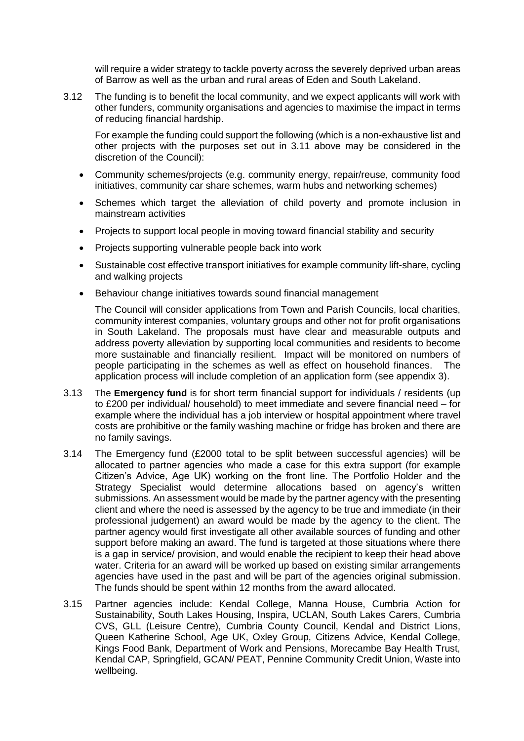will require a wider strategy to tackle poverty across the severely deprived urban areas of Barrow as well as the urban and rural areas of Eden and South Lakeland.

3.12 The funding is to benefit the local community, and we expect applicants will work with other funders, community organisations and agencies to maximise the impact in terms of reducing financial hardship.

For example the funding could support the following (which is a non-exhaustive list and other projects with the purposes set out in 3.11 above may be considered in the discretion of the Council):

- Community schemes/projects (e.g. community energy, repair/reuse, community food initiatives, community car share schemes, warm hubs and networking schemes)
- Schemes which target the alleviation of child poverty and promote inclusion in mainstream activities
- Projects to support local people in moving toward financial stability and security
- Projects supporting vulnerable people back into work
- Sustainable cost effective transport initiatives for example community lift-share, cycling and walking projects
- Behaviour change initiatives towards sound financial management

The Council will consider applications from Town and Parish Councils, local charities, community interest companies, voluntary groups and other not for profit organisations in South Lakeland. The proposals must have clear and measurable outputs and address poverty alleviation by supporting local communities and residents to become more sustainable and financially resilient. Impact will be monitored on numbers of people participating in the schemes as well as effect on household finances. The application process will include completion of an application form (see appendix 3).

- 3.13 The **Emergency fund** is for short term financial support for individuals / residents (up to £200 per individual/ household) to meet immediate and severe financial need – for example where the individual has a job interview or hospital appointment where travel costs are prohibitive or the family washing machine or fridge has broken and there are no family savings.
- 3.14 The Emergency fund (£2000 total to be split between successful agencies) will be allocated to partner agencies who made a case for this extra support (for example Citizen's Advice, Age UK) working on the front line. The Portfolio Holder and the Strategy Specialist would determine allocations based on agency's written submissions. An assessment would be made by the partner agency with the presenting client and where the need is assessed by the agency to be true and immediate (in their professional judgement) an award would be made by the agency to the client. The partner agency would first investigate all other available sources of funding and other support before making an award. The fund is targeted at those situations where there is a gap in service/ provision, and would enable the recipient to keep their head above water. Criteria for an award will be worked up based on existing similar arrangements agencies have used in the past and will be part of the agencies original submission. The funds should be spent within 12 months from the award allocated.
- 3.15 Partner agencies include: Kendal College, Manna House, Cumbria Action for Sustainability, South Lakes Housing, Inspira, UCLAN, South Lakes Carers, Cumbria CVS, GLL (Leisure Centre), Cumbria County Council, Kendal and District Lions, Queen Katherine School, Age UK, Oxley Group, Citizens Advice, Kendal College, Kings Food Bank, Department of Work and Pensions, Morecambe Bay Health Trust, Kendal CAP, Springfield, GCAN/ PEAT, Pennine Community Credit Union, Waste into wellbeing.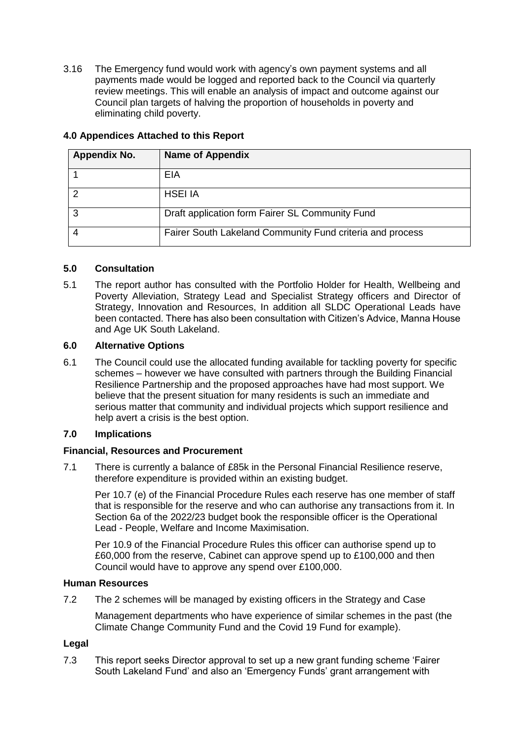3.16 The Emergency fund would work with agency's own payment systems and all payments made would be logged and reported back to the Council via quarterly review meetings. This will enable an analysis of impact and outcome against our Council plan targets of halving the proportion of households in poverty and eliminating child poverty.

| <b>Appendix No.</b> | <b>Name of Appendix</b>                                   |
|---------------------|-----------------------------------------------------------|
|                     | EIA                                                       |
|                     | <b>HSEI IA</b>                                            |
| 3                   | Draft application form Fairer SL Community Fund           |
|                     | Fairer South Lakeland Community Fund criteria and process |

# **4.0 Appendices Attached to this Report**

# **5.0 Consultation**

5.1 The report author has consulted with the Portfolio Holder for Health, Wellbeing and Poverty Alleviation, Strategy Lead and Specialist Strategy officers and Director of Strategy, Innovation and Resources, In addition all SLDC Operational Leads have been contacted. There has also been consultation with Citizen's Advice, Manna House and Age UK South Lakeland.

# **6.0 Alternative Options**

6.1 The Council could use the allocated funding available for tackling poverty for specific schemes – however we have consulted with partners through the Building Financial Resilience Partnership and the proposed approaches have had most support. We believe that the present situation for many residents is such an immediate and serious matter that community and individual projects which support resilience and help avert a crisis is the best option.

# **7.0 Implications**

## **Financial, Resources and Procurement**

7.1 There is currently a balance of £85k in the Personal Financial Resilience reserve, therefore expenditure is provided within an existing budget.

Per 10.7 (e) of the Financial Procedure Rules each reserve has one member of staff that is responsible for the reserve and who can authorise any transactions from it. In Section 6a of the 2022/23 budget book the responsible officer is the Operational Lead - People, Welfare and Income Maximisation.

Per 10.9 of the Financial Procedure Rules this officer can authorise spend up to £60,000 from the reserve, Cabinet can approve spend up to £100,000 and then Council would have to approve any spend over £100,000.

## **Human Resources**

7.2 The 2 schemes will be managed by existing officers in the Strategy and Case

Management departments who have experience of similar schemes in the past (the Climate Change Community Fund and the Covid 19 Fund for example).

## **Legal**

7.3 This report seeks Director approval to set up a new grant funding scheme 'Fairer South Lakeland Fund' and also an 'Emergency Funds' grant arrangement with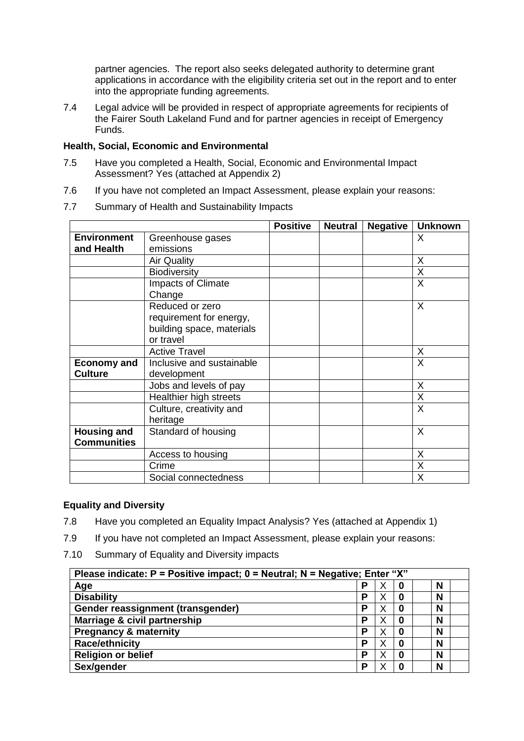partner agencies. The report also seeks delegated authority to determine grant applications in accordance with the eligibility criteria set out in the report and to enter into the appropriate funding agreements.

7.4 Legal advice will be provided in respect of appropriate agreements for recipients of the Fairer South Lakeland Fund and for partner agencies in receipt of Emergency Funds.

#### **Health, Social, Economic and Environmental**

- 7.5 Have you completed a Health, Social, Economic and Environmental Impact Assessment? Yes (attached at Appendix 2)
- 7.6 If you have not completed an Impact Assessment, please explain your reasons:
- 7.7 Summary of Health and Sustainability Impacts

|                                          |                                                                                      | <b>Positive</b> | <b>Neutral</b> | <b>Negative</b> | <b>Unknown</b> |
|------------------------------------------|--------------------------------------------------------------------------------------|-----------------|----------------|-----------------|----------------|
| <b>Environment</b>                       | Greenhouse gases                                                                     |                 |                |                 | X              |
| and Health                               | emissions                                                                            |                 |                |                 |                |
|                                          | <b>Air Quality</b>                                                                   |                 |                |                 | X              |
|                                          | <b>Biodiversity</b>                                                                  |                 |                |                 | X              |
|                                          | Impacts of Climate<br>Change                                                         |                 |                |                 | X              |
|                                          | Reduced or zero<br>requirement for energy,<br>building space, materials<br>or travel |                 |                |                 | X              |
|                                          | <b>Active Travel</b>                                                                 |                 |                |                 | X              |
| <b>Economy and</b><br><b>Culture</b>     | Inclusive and sustainable<br>development                                             |                 |                |                 | X              |
|                                          | Jobs and levels of pay                                                               |                 |                |                 | X              |
|                                          | Healthier high streets                                                               |                 |                |                 | X              |
|                                          | Culture, creativity and<br>heritage                                                  |                 |                |                 | X              |
| <b>Housing and</b><br><b>Communities</b> | Standard of housing                                                                  |                 |                |                 | X              |
|                                          | Access to housing                                                                    |                 |                |                 | X              |
|                                          | Crime                                                                                |                 |                |                 | X              |
|                                          | Social connectedness                                                                 |                 |                |                 | X              |

# **Equality and Diversity**

- 7.8 Have you completed an Equality Impact Analysis? Yes (attached at Appendix 1)
- 7.9 If you have not completed an Impact Assessment, please explain your reasons:
- 7.10 Summary of Equality and Diversity impacts

| Please indicate: $P =$ Positive impact; $0 =$ Neutral; N = Negative; Enter "X" |   |   |   |   |
|--------------------------------------------------------------------------------|---|---|---|---|
| Age                                                                            | D | ↗ | 0 | N |
| <b>Disability</b>                                                              | Р |   | 0 | N |
| Gender reassignment (transgender)                                              | D |   | 0 | N |
| Marriage & civil partnership                                                   | D | Х | 0 | N |
| <b>Pregnancy &amp; maternity</b>                                               | D | X | 0 | N |
| <b>Race/ethnicity</b>                                                          | D |   | 0 | N |
| <b>Religion or belief</b>                                                      | D | Χ | 0 | N |
| Sex/gender                                                                     | D |   | 0 | N |